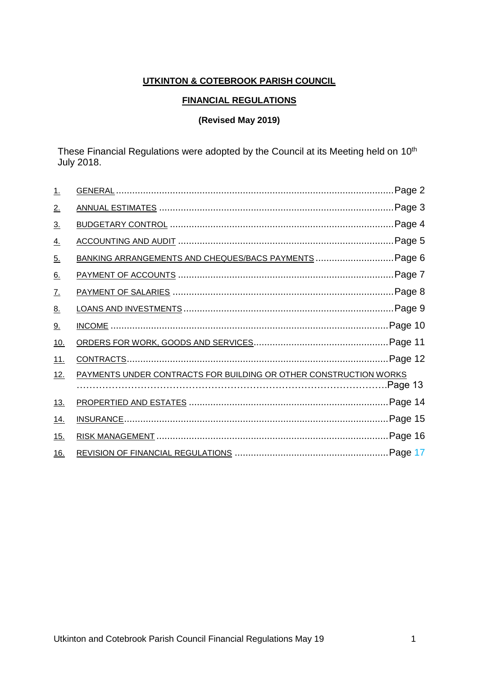# **UTKINTON & COTEBROOK PARISH COUNCIL**

#### **FINANCIAL REGULATIONS**

## **(Revised May 2019)**

These Financial Regulations were adopted by the Council at its Meeting held on 10<sup>th</sup> July 2018.

| <u>1.</u>         |                                                                   | Page 2   |
|-------------------|-------------------------------------------------------------------|----------|
| <u>2.</u>         |                                                                   | Page 3   |
| $\underline{3}$ . |                                                                   | Page 4.  |
| <u>4.</u>         |                                                                   | Page 5.  |
| <u>5.</u>         | BANKING ARRANGEMENTS AND CHEQUES/BACS PAYMENTS  Page 6            |          |
| <u>6.</u>         |                                                                   |          |
| <u>7.</u>         |                                                                   |          |
| <u>8.</u>         |                                                                   | Page 9.  |
| <u>9.</u>         |                                                                   |          |
| <u>10.</u>        |                                                                   |          |
| <u>11.</u>        |                                                                   |          |
| 12.               | PAYMENTS UNDER CONTRACTS FOR BUILDING OR OTHER CONSTRUCTION WORKS | Page 13. |
| <u>13.</u>        |                                                                   |          |
| <u>14.</u>        |                                                                   |          |
| <u>15.</u>        |                                                                   |          |
| <u>16.</u>        |                                                                   |          |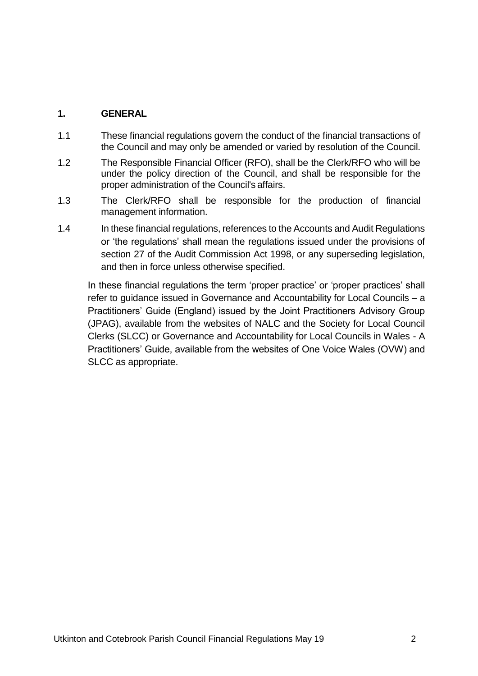# **1. GENERAL**

- 1.1 These financial regulations govern the conduct of the financial transactions of the Council and may only be amended or varied by resolution of the Council.
- 1.2 The Responsible Financial Officer (RFO), shall be the Clerk/RFO who will be under the policy direction of the Council, and shall be responsible for the proper administration of the Council's affairs.
- 1.3 The Clerk/RFO shall be responsible for the production of financial management information.
- 1.4 In these financial regulations, references to the Accounts and Audit Regulations or 'the regulations' shall mean the regulations issued under the provisions of section 27 of the Audit Commission Act 1998, or any superseding legislation, and then in force unless otherwise specified.

In these financial regulations the term 'proper practice' or 'proper practices' shall refer to guidance issued in Governance and Accountability for Local Councils – a Practitioners' Guide (England) issued by the Joint Practitioners Advisory Group (JPAG), available from the websites of NALC and the Society for Local Council Clerks (SLCC) or Governance and Accountability for Local Councils in Wales - A Practitioners' Guide, available from the websites of One Voice Wales (OVW) and SLCC as appropriate.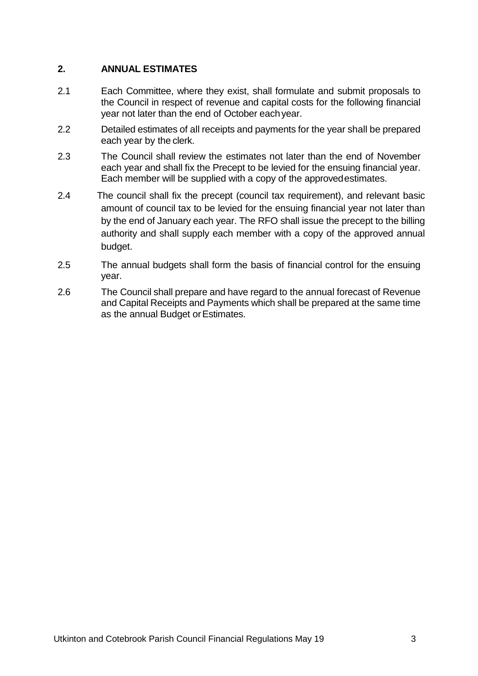## **2. ANNUAL ESTIMATES**

- 2.1 Each Committee, where they exist, shall formulate and submit proposals to the Council in respect of revenue and capital costs for the following financial year not later than the end of October eachyear.
- 2.2 Detailed estimates of all receipts and payments for the year shall be prepared each year by the clerk.
- 2.3 The Council shall review the estimates not later than the end of November each year and shall fix the Precept to be levied for the ensuing financial year. Each member will be supplied with a copy of the approvedestimates.
- 2.4 The council shall fix the precept (council tax requirement), and relevant basic amount of council tax to be levied for the ensuing financial year not later than by the end of January each year. The RFO shall issue the precept to the billing authority and shall supply each member with a copy of the approved annual budget.
- 2.5 The annual budgets shall form the basis of financial control for the ensuing year.
- 2.6 The Council shall prepare and have regard to the annual forecast of Revenue and Capital Receipts and Payments which shall be prepared at the same time as the annual Budget or Estimates.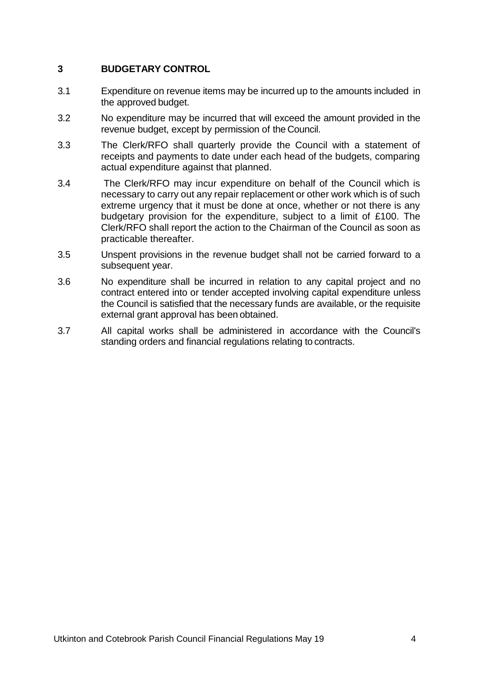## **3 BUDGETARY CONTROL**

- 3.1 Expenditure on revenue items may be incurred up to the amounts included in the approved budget.
- 3.2 No expenditure may be incurred that will exceed the amount provided in the revenue budget, except by permission of the Council.
- 3.3 The Clerk/RFO shall quarterly provide the Council with a statement of receipts and payments to date under each head of the budgets, comparing actual expenditure against that planned.
- 3.4 The Clerk/RFO may incur expenditure on behalf of the Council which is necessary to carry out any repair replacement or other work which is of such extreme urgency that it must be done at once, whether or not there is any budgetary provision for the expenditure, subject to a limit of £100. The Clerk/RFO shall report the action to the Chairman of the Council as soon as practicable thereafter.
- 3.5 Unspent provisions in the revenue budget shall not be carried forward to a subsequent year.
- 3.6 No expenditure shall be incurred in relation to any capital project and no contract entered into or tender accepted involving capital expenditure unless the Council is satisfied that the necessary funds are available, or the requisite external grant approval has been obtained.
- 3.7 All capital works shall be administered in accordance with the Council's standing orders and financial regulations relating to contracts.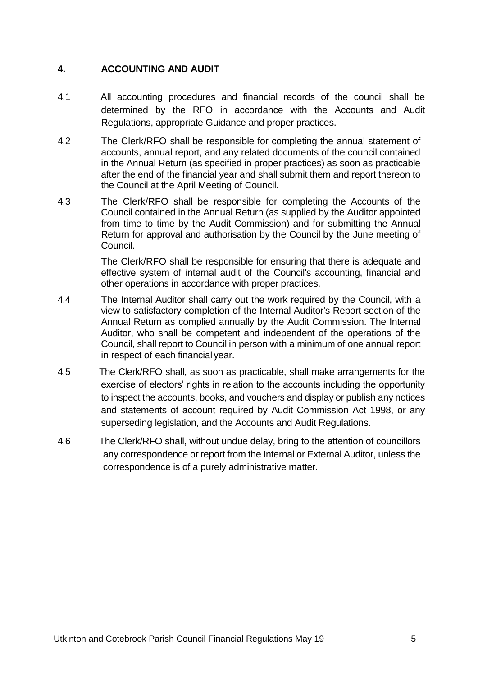# **4. ACCOUNTING AND AUDIT**

- 4.1 All accounting procedures and financial records of the council shall be determined by the RFO in accordance with the Accounts and Audit Regulations, appropriate Guidance and proper practices.
- 4.2 The Clerk/RFO shall be responsible for completing the annual statement of accounts, annual report, and any related documents of the council contained in the Annual Return (as specified in proper practices) as soon as practicable after the end of the financial year and shall submit them and report thereon to the Council at the April Meeting of Council.
- 4.3 The Clerk/RFO shall be responsible for completing the Accounts of the Council contained in the Annual Return (as supplied by the Auditor appointed from time to time by the Audit Commission) and for submitting the Annual Return for approval and authorisation by the Council by the June meeting of Council.

The Clerk/RFO shall be responsible for ensuring that there is adequate and effective system of internal audit of the Council's accounting, financial and other operations in accordance with proper practices.

- 4.4 The Internal Auditor shall carry out the work required by the Council, with a view to satisfactory completion of the Internal Auditor's Report section of the Annual Return as complied annually by the Audit Commission. The Internal Auditor, who shall be competent and independent of the operations of the Council, shall report to Council in person with a minimum of one annual report in respect of each financial year.
- 4.5 The Clerk/RFO shall, as soon as practicable, shall make arrangements for the exercise of electors' rights in relation to the accounts including the opportunity to inspect the accounts, books, and vouchers and display or publish any notices and statements of account required by Audit Commission Act 1998, or any superseding legislation, and the Accounts and Audit Regulations.
- 4.6 The Clerk/RFO shall, without undue delay, bring to the attention of councillors any correspondence or report from the Internal or External Auditor, unless the correspondence is of a purely administrative matter.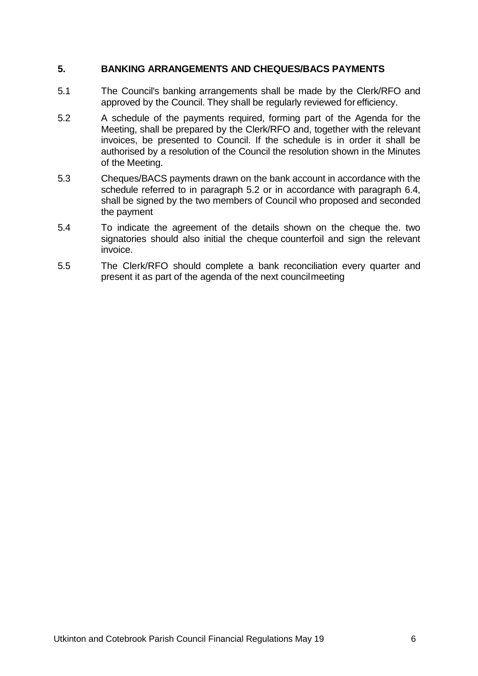#### **5. BANKING ARRANGEMENTS AND CHEQUES/BACS PAYMENTS**

- 5.1 The Council's banking arrangements shall be made by the Clerk/RFO and approved by the Council. They shall be regularly reviewed for efficiency.
- 5.2 A schedule of the payments required, forming part of the Agenda for the Meeting, shall be prepared by the Clerk/RFO and, together with the relevant invoices, be presented to Council. If the schedule is in order it shall be authorised by a resolution of the Council the resolution shown in the Minutes of the Meeting.
- 5.3 Cheques/BACS payments drawn on the bank account in accordance with the schedule referred to in paragraph 5.2 or in accordance with paragraph 6.4, shall be signed by the two members of Council who proposed and seconded the payment
- 5.4 To indicate the agreement of the details shown on the cheque the. two signatories should also initial the cheque counterfoil and sign the relevant invoice.
- 5.5 The Clerk/RFO should complete a bank reconciliation every quarter and present it as part of the agenda of the next councilmeeting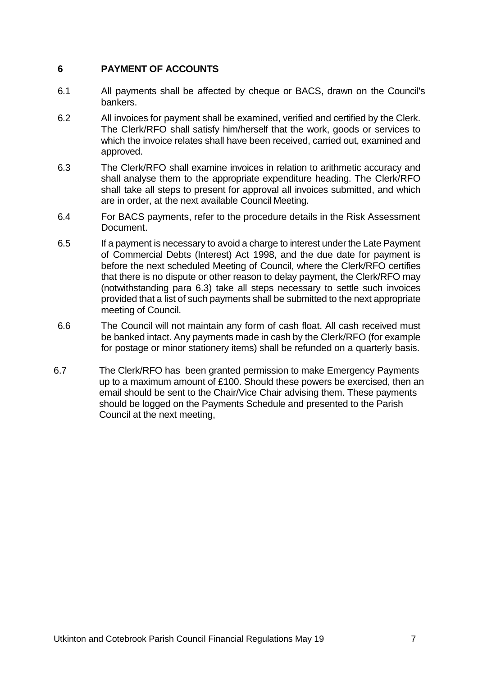## **6 PAYMENT OF ACCOUNTS**

- 6.1 All payments shall be affected by cheque or BACS, drawn on the Council's bankers.
- 6.2 All invoices for payment shall be examined, verified and certified by the Clerk. The Clerk/RFO shall satisfy him/herself that the work, goods or services to which the invoice relates shall have been received, carried out, examined and approved.
- 6.3 The Clerk/RFO shall examine invoices in relation to arithmetic accuracy and shall analyse them to the appropriate expenditure heading. The Clerk/RFO shall take all steps to present for approval all invoices submitted, and which are in order, at the next available Council Meeting.
- 6.4 For BACS payments, refer to the procedure details in the Risk Assessment Document.
- 6.5 If a payment is necessary to avoid a charge to interest under the Late Payment of Commercial Debts (Interest) Act 1998, and the due date for payment is before the next scheduled Meeting of Council, where the Clerk/RFO certifies that there is no dispute or other reason to delay payment, the Clerk/RFO may (notwithstanding para 6.3) take all steps necessary to settle such invoices provided that a list of such payments shall be submitted to the next appropriate meeting of Council.
- 6.6 The Council will not maintain any form of cash float. All cash received must be banked intact. Any payments made in cash by the Clerk/RFO (for example for postage or minor stationery items) shall be refunded on a quarterly basis.
- 6.7 The Clerk/RFO has been granted permission to make Emergency Payments up to a maximum amount of £100. Should these powers be exercised, then an email should be sent to the Chair/Vice Chair advising them. These payments should be logged on the Payments Schedule and presented to the Parish Council at the next meeting,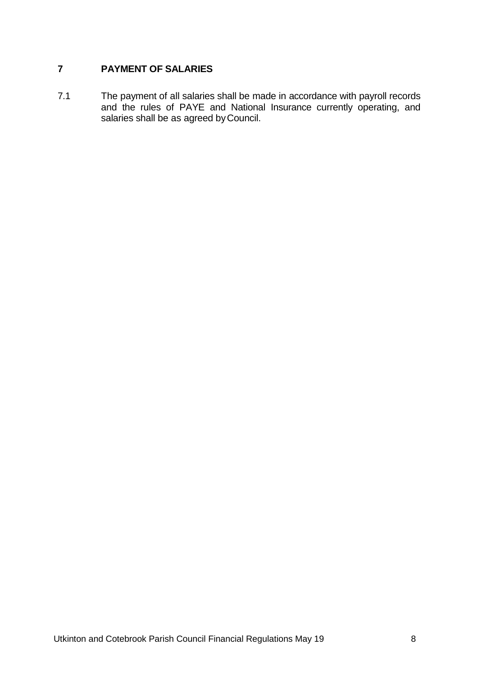# **7 PAYMENT OF SALARIES**

7.1 The payment of all salaries shall be made in accordance with payroll records and the rules of PAYE and National Insurance currently operating, and salaries shall be as agreed byCouncil.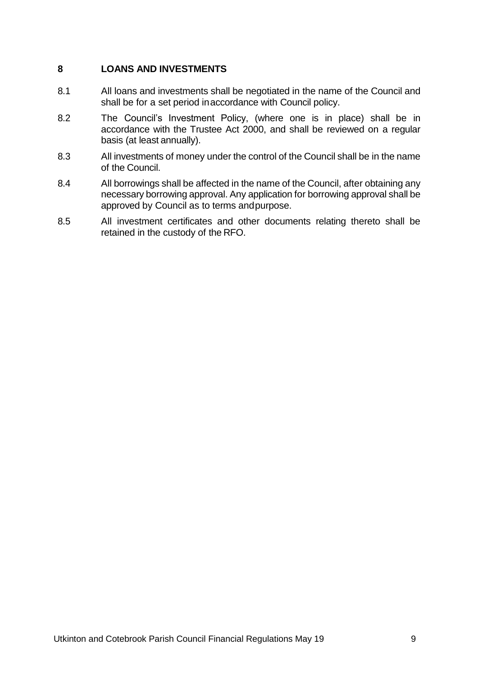## **8 LOANS AND INVESTMENTS**

- 8.1 All loans and investments shall be negotiated in the name of the Council and shall be for a set period inaccordance with Council policy.
- 8.2 The Council's Investment Policy, (where one is in place) shall be in accordance with the Trustee Act 2000, and shall be reviewed on a regular basis (at least annually).
- 8.3 All investments of money under the control of the Council shall be in the name of the Council.
- 8.4 All borrowings shall be affected in the name of the Council, after obtaining any necessary borrowing approval. Any application for borrowing approval shall be approved by Council as to terms andpurpose.
- 8.5 All investment certificates and other documents relating thereto shall be retained in the custody of the RFO.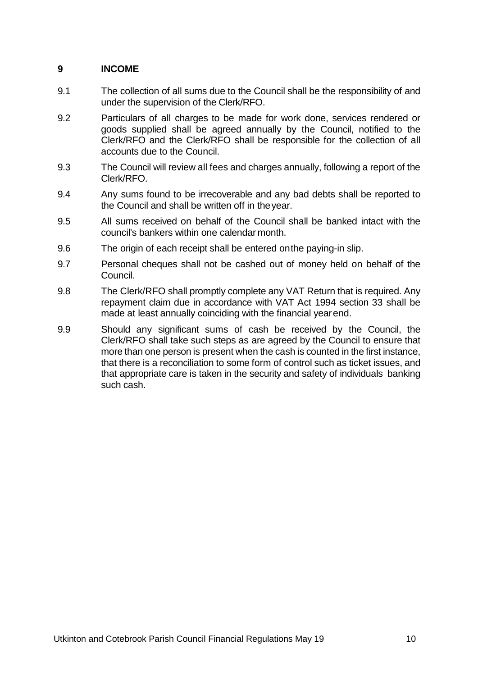# **9 INCOME**

- 9.1 The collection of all sums due to the Council shall be the responsibility of and under the supervision of the Clerk/RFO.
- 9.2 Particulars of all charges to be made for work done, services rendered or goods supplied shall be agreed annually by the Council, notified to the Clerk/RFO and the Clerk/RFO shall be responsible for the collection of all accounts due to the Council.
- 9.3 The Council will review all fees and charges annually, following a report of the Clerk/RFO.
- 9.4 Any sums found to be irrecoverable and any bad debts shall be reported to the Council and shall be written off in theyear.
- 9.5 All sums received on behalf of the Council shall be banked intact with the council's bankers within one calendar month.
- 9.6 The origin of each receipt shall be entered onthe paying-in slip.
- 9.7 Personal cheques shall not be cashed out of money held on behalf of the Council.
- 9.8 The Clerk/RFO shall promptly complete any VAT Return that is required. Any repayment claim due in accordance with VAT Act 1994 section 33 shall be made at least annually coinciding with the financial yearend.
- 9.9 Should any significant sums of cash be received by the Council, the Clerk/RFO shall take such steps as are agreed by the Council to ensure that more than one person is present when the cash is counted in the first instance, that there is a reconciliation to some form of control such as ticket issues, and that appropriate care is taken in the security and safety of individuals banking such cash.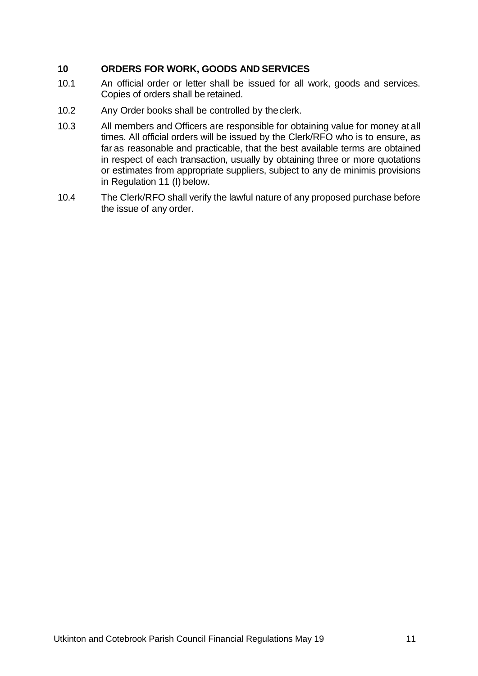## **10 ORDERS FOR WORK, GOODS AND SERVICES**

- 10.1 An official order or letter shall be issued for all work, goods and services. Copies of orders shall be retained.
- 10.2 Any Order books shall be controlled by theclerk.
- 10.3 All members and Officers are responsible for obtaining value for money at all times. All official orders will be issued by the Clerk/RFO who is to ensure, as far as reasonable and practicable, that the best available terms are obtained in respect of each transaction, usually by obtaining three or more quotations or estimates from appropriate suppliers, subject to any de minimis provisions in Regulation 11 (I) below.
- 10.4 The Clerk/RFO shall verify the lawful nature of any proposed purchase before the issue of any order.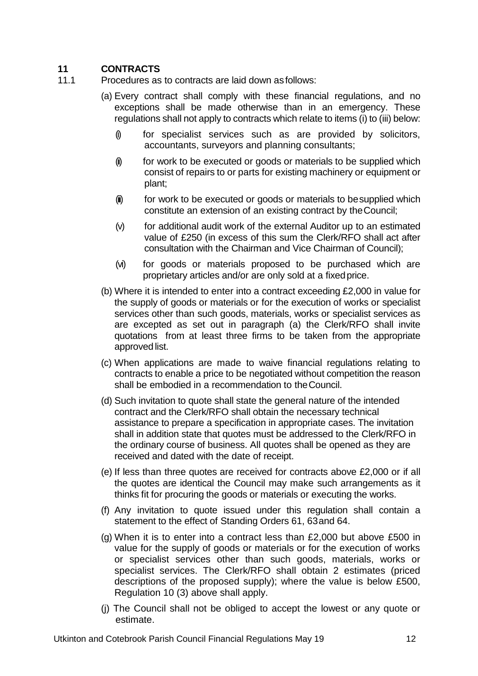# **11 CONTRACTS**

- 11.1 Procedures as to contracts are laid down asfollows:
	- (a) Every contract shall comply with these financial regulations, and no exceptions shall be made otherwise than in an emergency. These regulations shall not apply to contracts which relate to items (i) to (iii) below:
		- (i) for specialist services such as are provided by solicitors, accountants, surveyors and planning consultants;
		- $(i)$  for work to be executed or goods or materials to be supplied which consist of repairs to or parts for existing machinery or equipment or plant;
		- (ii) for work to be executed or goods or materials to be supplied which constitute an extension of an existing contract by theCouncil;
		- (v) for additional audit work of the external Auditor up to an estimated value of £250 (in excess of this sum the Clerk/RFO shall act after consultation with the Chairman and Vice Chairman of Council);
		- (vi) for goods or materials proposed to be purchased which are proprietary articles and/or are only sold at a fixedprice.
	- (b) Where it is intended to enter into a contract exceeding £2,000 in value for the supply of goods or materials or for the execution of works or specialist services other than such goods, materials, works or specialist services as are excepted as set out in paragraph (a) the Clerk/RFO shall invite quotations from at least three firms to be taken from the appropriate approved list.
	- (c) When applications are made to waive financial regulations relating to contracts to enable a price to be negotiated without competition the reason shall be embodied in a recommendation to theCouncil.
	- (d) Such invitation to quote shall state the general nature of the intended contract and the Clerk/RFO shall obtain the necessary technical assistance to prepare a specification in appropriate cases. The invitation shall in addition state that quotes must be addressed to the Clerk/RFO in the ordinary course of business. All quotes shall be opened as they are received and dated with the date of receipt.
	- (e) If less than three quotes are received for contracts above £2,000 or if all the quotes are identical the Council may make such arrangements as it thinks fit for procuring the goods or materials or executing the works.
	- (f) Any invitation to quote issued under this regulation shall contain a statement to the effect of Standing Orders 61, 63and 64.
	- (g) When it is to enter into a contract less than £2,000 but above £500 in value for the supply of goods or materials or for the execution of works or specialist services other than such goods, materials, works or specialist services. The Clerk/RFO shall obtain 2 estimates (priced descriptions of the proposed supply); where the value is below £500, Regulation 10 (3) above shall apply.
	- (j) The Council shall not be obliged to accept the lowest or any quote or estimate.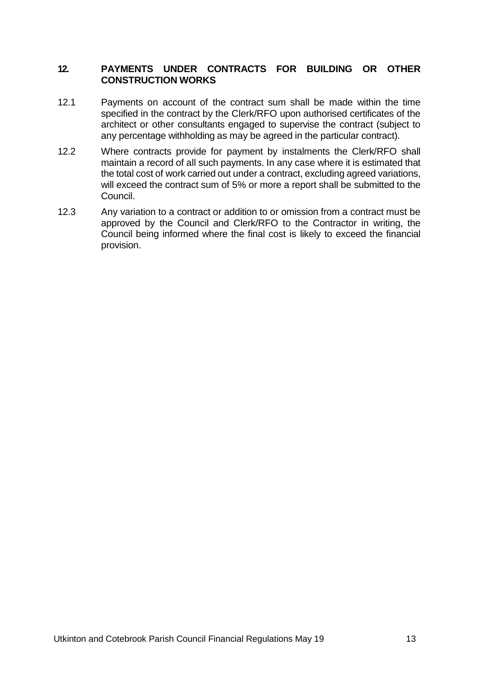#### **12. PAYMENTS UNDER CONTRACTS FOR BUILDING OR OTHER CONSTRUCTION WORKS**

- 12.1 Payments on account of the contract sum shall be made within the time specified in the contract by the Clerk/RFO upon authorised certificates of the architect or other consultants engaged to supervise the contract (subject to any percentage withholding as may be agreed in the particular contract).
- 12.2 Where contracts provide for payment by instalments the Clerk/RFO shall maintain a record of all such payments. In any case where it is estimated that the total cost of work carried out under a contract, excluding agreed variations, will exceed the contract sum of 5% or more a report shall be submitted to the Council.
- 12.3 Any variation to a contract or addition to or omission from a contract must be approved by the Council and Clerk/RFO to the Contractor in writing, the Council being informed where the final cost is likely to exceed the financial provision.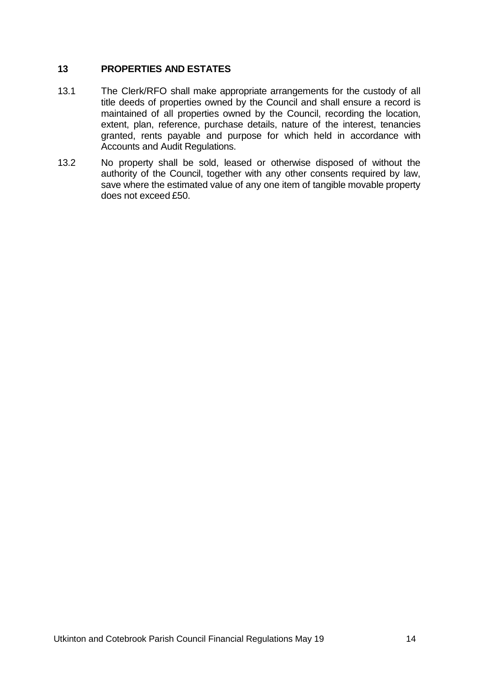## **13 PROPERTIES AND ESTATES**

- 13.1 The Clerk/RFO shall make appropriate arrangements for the custody of all title deeds of properties owned by the Council and shall ensure a record is maintained of all properties owned by the Council, recording the location, extent, plan, reference, purchase details, nature of the interest, tenancies granted, rents payable and purpose for which held in accordance with Accounts and Audit Regulations.
- 13.2 No property shall be sold, leased or otherwise disposed of without the authority of the Council, together with any other consents required by law, save where the estimated value of any one item of tangible movable property does not exceed £50.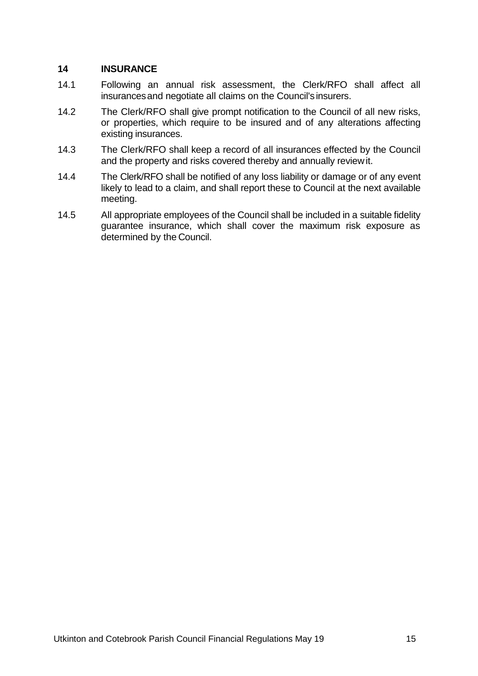#### **14 INSURANCE**

- 14.1 Following an annual risk assessment, the Clerk/RFO shall affect all insurancesand negotiate all claims on the Council's insurers.
- 14.2 The Clerk/RFO shall give prompt notification to the Council of all new risks, or properties, which require to be insured and of any alterations affecting existing insurances.
- 14.3 The Clerk/RFO shall keep a record of all insurances effected by the Council and the property and risks covered thereby and annually reviewit.
- 14.4 The Clerk/RFO shall be notified of any loss liability or damage or of any event likely to lead to a claim, and shall report these to Council at the next available meeting.
- 14.5 All appropriate employees of the Council shall be included in a suitable fidelity guarantee insurance, which shall cover the maximum risk exposure as determined by the Council.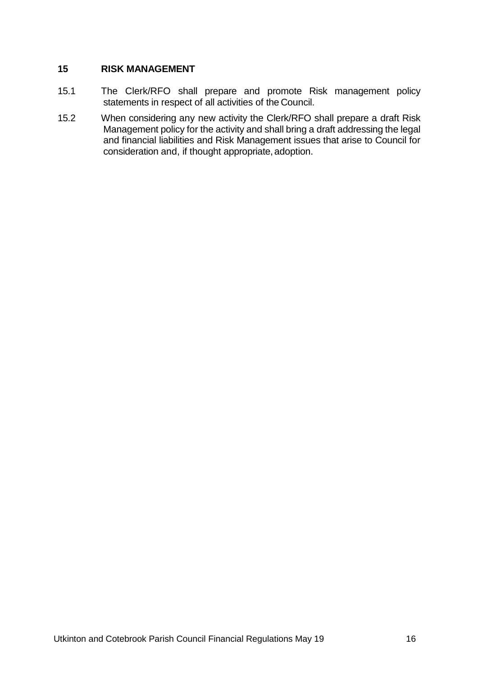#### **15 RISK MANAGEMENT**

- 15.1 The Clerk/RFO shall prepare and promote Risk management policy statements in respect of all activities of the Council.
- 15.2 When considering any new activity the Clerk/RFO shall prepare a draft Risk Management policy for the activity and shall bring a draft addressing the legal and financial liabilities and Risk Management issues that arise to Council for consideration and, if thought appropriate, adoption.